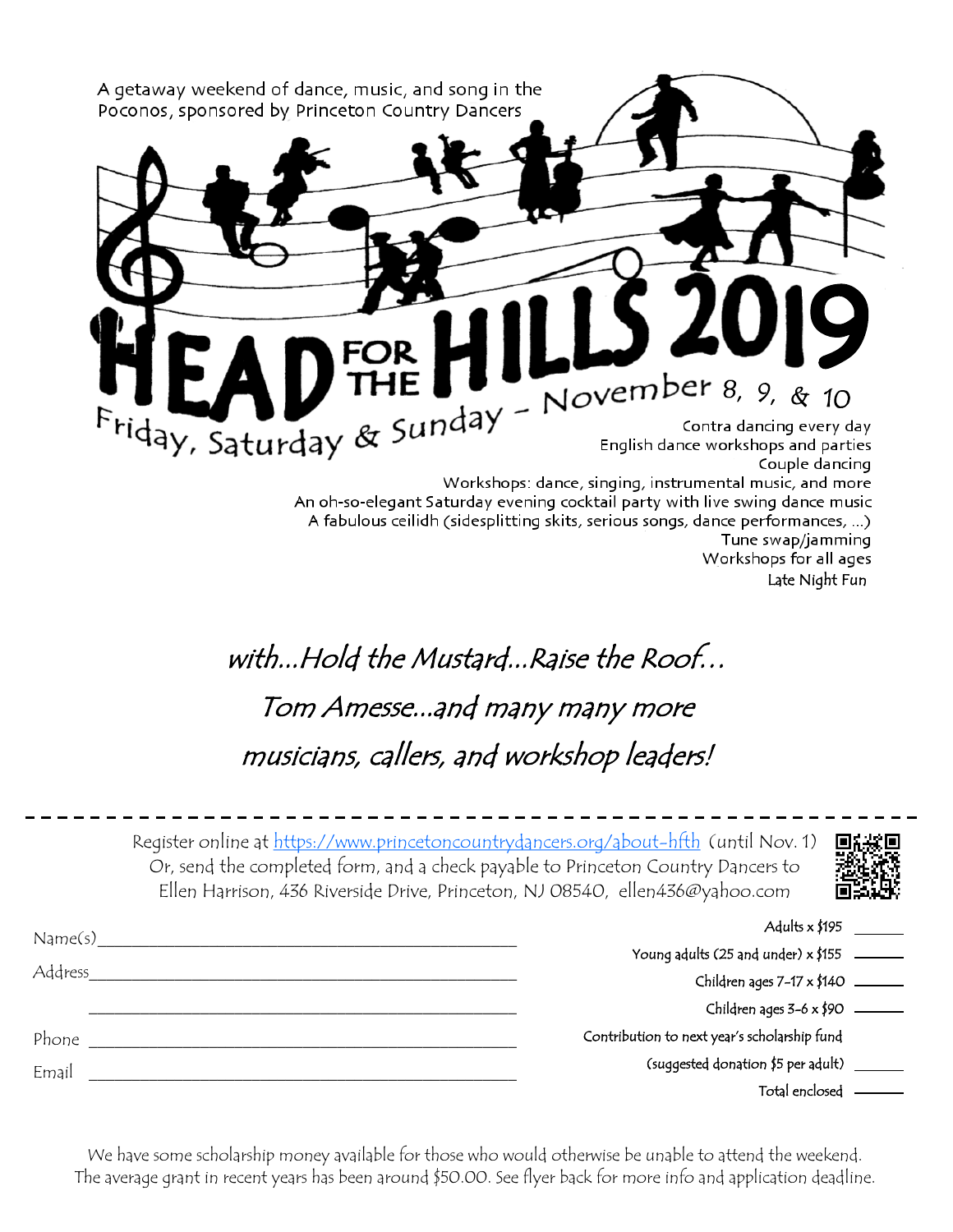

# with...Hold the Mustard...Raise the Roof… Tom Amesse...and many many more musicians, callers, and workshop leaders!

Register online at <https://www.princetoncountrydancers.org/about-hfth> (until Nov. 1) Or, send the completed form, and a check payable to Princeton Country Dancers to Ellen Harrison, 436 Riverside Drive, Princeton, NJ 08540, ellen436@yahoo.com

|  | I |
|--|---|
|  |   |
|  |   |
|  |   |

| Name(s) | Adults $\times$ \$195                        |  |
|---------|----------------------------------------------|--|
|         | Young adults (25 and under) $x$ \$155 ______ |  |
| Address | Children ages 7-17 x \$140                   |  |
|         | Children ages $3-6 \times $90$ _______       |  |
| Phone   | Contribution to next year's scholarship fund |  |
| Email   | (suggested donation \$5 per adult)           |  |
|         | Total enclosed -                             |  |

We have some scholarship money available for those who would otherwise be unable to attend the weekend. The average grant in recent years has been around \$50.00. See flyer back for more info and application deadline.